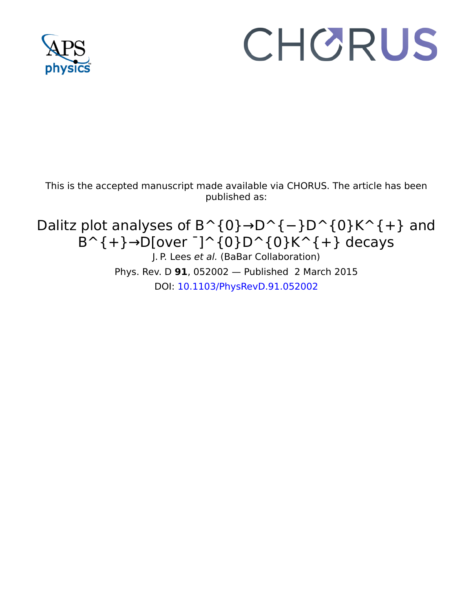

# CHORUS

This is the accepted manuscript made available via CHORUS. The article has been published as:

Dalitz plot analyses of  $B^{\wedge}$ {0}→D^{-}D^{0}K^{+} and  $B^{\wedge}$ {+}→D[over <sup>-</sup>]^{0}D^{0}K^{+} decays J. P. Lees et al. (BaBar Collaboration) Phys. Rev. D **91**, 052002 — Published 2 March 2015 DOI: [10.1103/PhysRevD.91.052002](http://dx.doi.org/10.1103/PhysRevD.91.052002)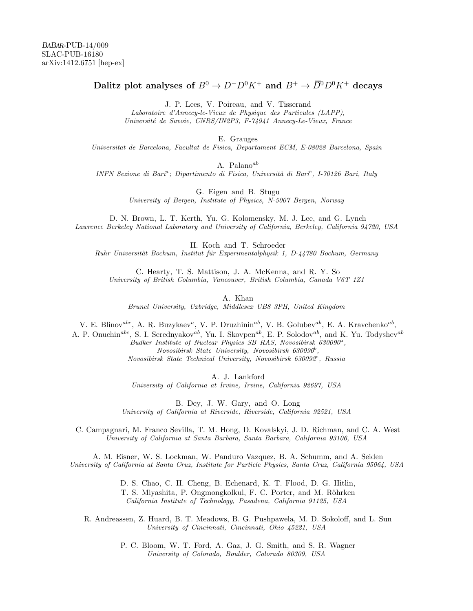# Dalitz plot analyses of  $B^0 \to D^-D^0K^+$  and  $B^+ \to \overline{D}{}^0D^0K^+$  decays

J. P. Lees, V. Poireau, and V. Tisserand

Laboratoire d'Annecy-le-Vieux de Physique des Particules (LAPP), Universit´e de Savoie, CNRS/IN2P3, F-74941 Annecy-Le-Vieux, France

E. Grauges

Universitat de Barcelona, Facultat de Fisica, Departament ECM, E-08028 Barcelona, Spain

A. Palano<sup>ab</sup>

INFN Sezione di Bari<sup>a</sup>; Dipartimento di Fisica, Università di Bari<sup>b</sup>, I-70126 Bari, Italy

G. Eigen and B. Stugu

University of Bergen, Institute of Physics, N-5007 Bergen, Norway

D. N. Brown, L. T. Kerth, Yu. G. Kolomensky, M. J. Lee, and G. Lynch Lawrence Berkeley National Laboratory and University of California, Berkeley, California 94720, USA

H. Koch and T. Schroeder Ruhr Universität Bochum, Institut für Experimentalphysik 1, D-44780 Bochum, Germany

C. Hearty, T. S. Mattison, J. A. McKenna, and R. Y. So University of British Columbia, Vancouver, British Columbia, Canada V6T 1Z1

A. Khan

Brunel University, Uxbridge, Middlesex UB8 3PH, United Kingdom

V. E. Blinov<sup>abc</sup>, A. R. Buzykaev<sup>a</sup>, V. P. Druzhinin<sup>ab</sup>, V. B. Golubev<sup>ab</sup>, E. A. Kravchenko<sup>ab</sup>,

A. P. Onuchin<sup>abc</sup>, S. I. Serednyakov<sup>ab</sup>, Yu. I. Skovpen<sup>ab</sup>, E. P. Solodov<sup>ab</sup>, and K. Yu. Todyshev<sup>ab</sup>

 $Budker$  Institute of Nuclear Physics SB RAS, Novosibirsk 630090<sup>a</sup>, Novosibirsk State University, Novosibirsk 630090<sup>b</sup>,  $Novosibirsk State Technical University, Novosibirsk 630092c, Russia$ 

A. J. Lankford

University of California at Irvine, Irvine, California 92697, USA

B. Dey, J. W. Gary, and O. Long University of California at Riverside, Riverside, California 92521, USA

C. Campagnari, M. Franco Sevilla, T. M. Hong, D. Kovalskyi, J. D. Richman, and C. A. West University of California at Santa Barbara, Santa Barbara, California 93106, USA

A. M. Eisner, W. S. Lockman, W. Panduro Vazquez, B. A. Schumm, and A. Seiden University of California at Santa Cruz, Institute for Particle Physics, Santa Cruz, California 95064, USA

> D. S. Chao, C. H. Cheng, B. Echenard, K. T. Flood, D. G. Hitlin, T. S. Miyashita, P. Ongmongkolkul, F. C. Porter, and M. Röhrken California Institute of Technology, Pasadena, California 91125, USA

R. Andreassen, Z. Huard, B. T. Meadows, B. G. Pushpawela, M. D. Sokoloff, and L. Sun University of Cincinnati, Cincinnati, Ohio 45221, USA

> P. C. Bloom, W. T. Ford, A. Gaz, J. G. Smith, and S. R. Wagner University of Colorado, Boulder, Colorado 80309, USA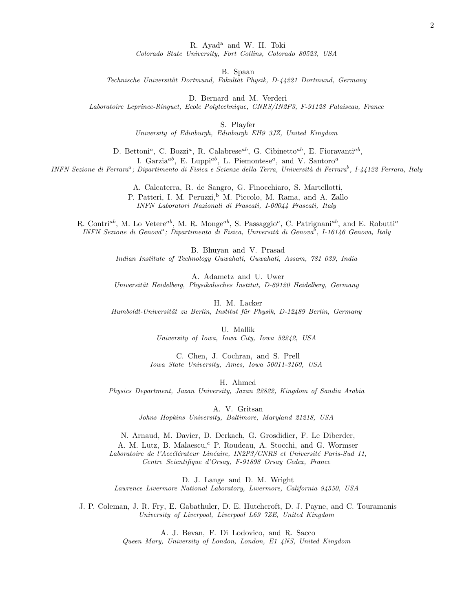R. Ayad<sup>a</sup> and W. H. Toki

Colorado State University, Fort Collins, Colorado 80523, USA

B. Spaan

Technische Universität Dortmund, Fakultät Physik, D-44221 Dortmund, Germany

D. Bernard and M. Verderi

Laboratoire Leprince-Ringuet, Ecole Polytechnique, CNRS/IN2P3, F-91128 Palaiseau, France

S. Playfer

University of Edinburgh, Edinburgh EH9 3JZ, United Kingdom

D. Bettoni<sup>a</sup>, C. Bozzi<sup>a</sup>, R. Calabrese<sup>ab</sup>, G. Cibinetto<sup>ab</sup>, E. Fioravanti<sup>ab</sup>, I. Garzia<sup>ab</sup>, E. Luppi<sup>ab</sup>, L. Piemontese<sup>a</sup>, and V. Santoro<sup>a</sup>

INFN Sezione di Ferrara<sup>a</sup>; Dipartimento di Fisica e Scienze della Terra, Università di Ferrara<sup>b</sup>, I-44122 Ferrara, Italy

A. Calcaterra, R. de Sangro, G. Finocchiaro, S. Martellotti, P. Patteri, I. M. Peruzzi,<sup>b</sup> M. Piccolo, M. Rama, and A. Zallo INFN Laboratori Nazionali di Frascati, I-00044 Frascati, Italy

R. Contri<sup>ab</sup>, M. Lo Vetere<sup>ab</sup>, M. R. Monge<sup>ab</sup>, S. Passaggio<sup>a</sup>, C. Patrignani<sup>ab</sup>, and E. Robutti<sup>a</sup> INFN Sezione di Genova<sup>a</sup>; Dipartimento di Fisica, Università di Genova<sup>b</sup>, I-16146 Genova, Italy

> B. Bhuyan and V. Prasad Indian Institute of Technology Guwahati, Guwahati, Assam, 781 039, India

> A. Adametz and U. Uwer Universität Heidelberg, Physikalisches Institut, D-69120 Heidelberg, Germany

H. M. Lacker Humboldt-Universität zu Berlin, Institut für Physik, D-12489 Berlin, Germany

> U. Mallik University of Iowa, Iowa City, Iowa 52242, USA

C. Chen, J. Cochran, and S. Prell Iowa State University, Ames, Iowa 50011-3160, USA

H. Ahmed

Physics Department, Jazan University, Jazan 22822, Kingdom of Saudia Arabia

A. V. Gritsan

Johns Hopkins University, Baltimore, Maryland 21218, USA

N. Arnaud, M. Davier, D. Derkach, G. Grosdidier, F. Le Diberder, A. M. Lutz, B. Malaescu,<sup>c</sup> P. Roudeau, A. Stocchi, and G. Wormser Laboratoire de l'Accélérateur Linéaire, IN2P3/CNRS et Université Paris-Sud 11, Centre Scientifique d'Orsay, F-91898 Orsay Cedex, France

D. J. Lange and D. M. Wright Lawrence Livermore National Laboratory, Livermore, California 94550, USA

J. P. Coleman, J. R. Fry, E. Gabathuler, D. E. Hutchcroft, D. J. Payne, and C. Touramanis University of Liverpool, Liverpool L69 7ZE, United Kingdom

A. J. Bevan, F. Di Lodovico, and R. Sacco

Queen Mary, University of London, London, E1 4NS, United Kingdom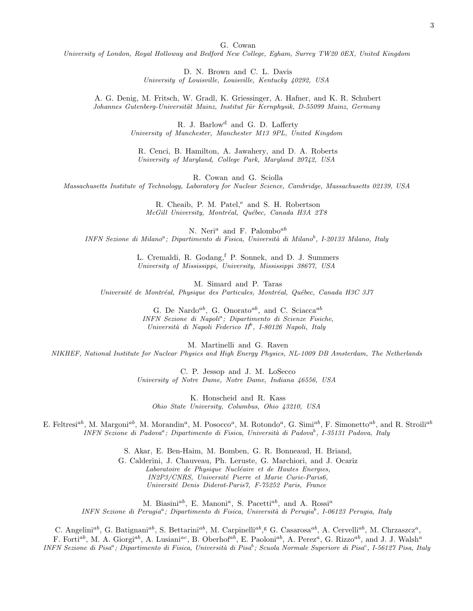G. Cowan

University of London, Royal Holloway and Bedford New College, Egham, Surrey TW20 0EX, United Kingdom

D. N. Brown and C. L. Davis University of Louisville, Louisville, Kentucky 40292, USA

A. G. Denig, M. Fritsch, W. Gradl, K. Griessinger, A. Hafner, and K. R. Schubert Johannes Gutenberg-Universität Mainz, Institut für Kernphysik, D-55099 Mainz, Germany

> R. J. Barlow<sup>d</sup> and G. D. Lafferty University of Manchester, Manchester M13 9PL, United Kingdom

R. Cenci, B. Hamilton, A. Jawahery, and D. A. Roberts University of Maryland, College Park, Maryland 20742, USA

R. Cowan and G. Sciolla Massachusetts Institute of Technology, Laboratory for Nuclear Science, Cambridge, Massachusetts 02139, USA

> R. Cheaib, P. M. Patel,<sup>e</sup> and S. H. Robertson McGill University, Montréal, Québec, Canada H3A 2T8

N. Neri<sup>a</sup> and F. Palombo<sup>ab</sup> INFN Sezione di Milano<sup>a</sup>; Dipartimento di Fisica, Università di Milano<sup>b</sup>, I-20133 Milano, Italy

> L. Cremaldi, R. Godang, <sup>f</sup> P. Sonnek, and D. J. Summers University of Mississippi, University, Mississippi 38677, USA

M. Simard and P. Taras Université de Montréal, Physique des Particules, Montréal, Québec, Canada H3C 3J7

> G. De Nardo<sup>ab</sup>, G. Onorato<sup>ab</sup>, and C. Sciacca<sup>ab</sup> INFN Sezione di Napoli<sup>a</sup> ; Dipartimento di Scienze Fisiche, Università di Napoli Federico II<sup>b</sup>, I-80126 Napoli, Italy

M. Martinelli and G. Raven NIKHEF, National Institute for Nuclear Physics and High Energy Physics, NL-1009 DB Amsterdam, The Netherlands

> C. P. Jessop and J. M. LoSecco University of Notre Dame, Notre Dame, Indiana 46556, USA

K. Honscheid and R. Kass Ohio State University, Columbus, Ohio 43210, USA

E. Feltresi<sup>ab</sup>, M. Margoni<sup>ab</sup>, M. Morandin<sup>a</sup>, M. Posocco<sup>a</sup>, M. Rotondo<sup>a</sup>, G. Simi<sup>ab</sup>, F. Simonetto<sup>ab</sup>, and R. Stroili<sup>ab</sup> INFN Sezione di Padova<sup>a</sup>; Dipartimento di Fisica, Università di Padova<sup>b</sup>, I-35131 Padova, Italy

S. Akar, E. Ben-Haim, M. Bomben, G. R. Bonneaud, H. Briand,

G. Calderini, J. Chauveau, Ph. Leruste, G. Marchiori, and J. Ocariz Laboratoire de Physique Nucléaire et de Hautes Energies, IN2P3/CNRS, Université Pierre et Marie Curie-Paris6, Universit´e Denis Diderot-Paris7, F-75252 Paris, France

M. Biasini<sup>ab</sup>, E. Manoni<sup>a</sup>, S. Pacetti<sup>ab</sup>, and A. Rossi<sup>a</sup> INFN Sezione di Perugia<sup>a</sup>; Dipartimento di Fisica, Università di Perugia<sup>b</sup>, I-06123 Perugia, Italy

C. Angelini<sup>ab</sup>, G. Batignani<sup>ab</sup>, S. Bettarini<sup>ab</sup>, M. Carpinelli<sup>ab</sup>,<sup>g</sup> G. Casarosa<sup>ab</sup>, A. Cervelli<sup>ab</sup>, M. Chrzaszcz<sup>a</sup>,

F. Forti<sup>ab</sup>, M. A. Giorgi<sup>ab</sup>, A. Lusiani<sup>ac</sup>, B. Oberhof<sup>ab</sup>, E. Paoloni<sup>ab</sup>, A. Perez<sup>a</sup>, G. Rizzo<sup>ab</sup>, and J. J. Walsh<sup>a</sup> INFN Sezione di Pisa<sup>a</sup>; Dipartimento di Fisica, Università di Pisa<sup>b</sup>; Scuola Normale Superiore di Pisa<sup>c</sup>, I-56127 Pisa, Italy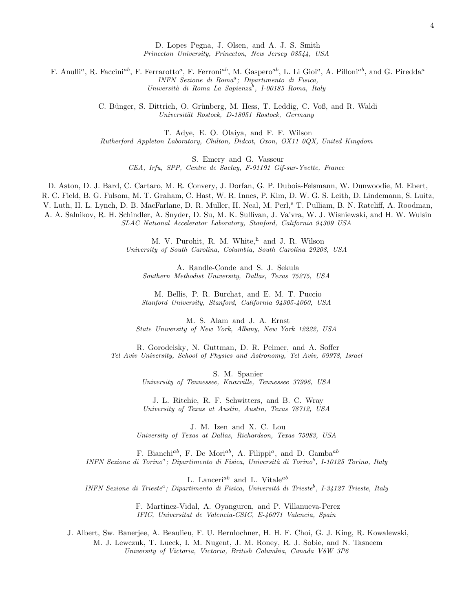D. Lopes Pegna, J. Olsen, and A. J. S. Smith Princeton University, Princeton, New Jersey 08544, USA

F. Anulli<sup>a</sup>, R. Faccini<sup>ab</sup>, F. Ferrarotto<sup>a</sup>, F. Ferroni<sup>ab</sup>, M. Gaspero<sup>ab</sup>, L. Li Gioi<sup>a</sup>, A. Pilloni<sup>ab</sup>, and G. Piredda<sup>a</sup> INFN Sezione di Roma<sup>a</sup>; Dipartimento di Fisica, Università di Roma La Sapienza<sup>b</sup>, I-00185 Roma, Italy

> C. Bünger, S. Dittrich, O. Grünberg, M. Hess, T. Leddig, C. Voß, and R. Waldi Universität Rostock, D-18051 Rostock, Germany

T. Adye, E. O. Olaiya, and F. F. Wilson Rutherford Appleton Laboratory, Chilton, Didcot, Oxon, OX11 0QX, United Kingdom

> S. Emery and G. Vasseur CEA, Irfu, SPP, Centre de Saclay, F-91191 Gif-sur-Yvette, France

D. Aston, D. J. Bard, C. Cartaro, M. R. Convery, J. Dorfan, G. P. Dubois-Felsmann, W. Dunwoodie, M. Ebert, R. C. Field, B. G. Fulsom, M. T. Graham, C. Hast, W. R. Innes, P. Kim, D. W. G. S. Leith, D. Lindemann, S. Luitz, V. Luth, H. L. Lynch, D. B. MacFarlane, D. R. Muller, H. Neal, M. Perl, <sup>e</sup> T. Pulliam, B. N. Ratcliff, A. Roodman, A. A. Salnikov, R. H. Schindler, A. Snyder, D. Su, M. K. Sullivan, J. Va'vra, W. J. Wisniewski, and H. W. Wulsin SLAC National Accelerator Laboratory, Stanford, California 94309 USA

> M. V. Purohit, R. M. White,<sup>h</sup> and J. R. Wilson University of South Carolina, Columbia, South Carolina 29208, USA

A. Randle-Conde and S. J. Sekula Southern Methodist University, Dallas, Texas 75275, USA

M. Bellis, P. R. Burchat, and E. M. T. Puccio Stanford University, Stanford, California 94305-4060, USA

M. S. Alam and J. A. Ernst State University of New York, Albany, New York 12222, USA

R. Gorodeisky, N. Guttman, D. R. Peimer, and A. Soffer Tel Aviv University, School of Physics and Astronomy, Tel Aviv, 69978, Israel

> S. M. Spanier University of Tennessee, Knoxville, Tennessee 37996, USA

J. L. Ritchie, R. F. Schwitters, and B. C. Wray University of Texas at Austin, Austin, Texas 78712, USA

J. M. Izen and X. C. Lou University of Texas at Dallas, Richardson, Texas 75083, USA

F. Bianchi<sup>ab</sup>, F. De Mori<sup>ab</sup>, A. Filippi<sup>a</sup>, and D. Gamba<sup>ab</sup> INFN Sezione di Torino<sup>a</sup>; Dipartimento di Fisica, Università di Torino<sup>b</sup>, I-10125 Torino, Italy

L. Lanceri<sup>ab</sup> and L. Vitale<sup>ab</sup> INFN Sezione di Trieste<sup>a</sup>; Dipartimento di Fisica, Università di Trieste<sup>b</sup>, I-34127 Trieste, Italy

> F. Martinez-Vidal, A. Oyanguren, and P. Villanueva-Perez IFIC, Universitat de Valencia-CSIC, E-46071 Valencia, Spain

J. Albert, Sw. Banerjee, A. Beaulieu, F. U. Bernlochner, H. H. F. Choi, G. J. King, R. Kowalewski, M. J. Lewczuk, T. Lueck, I. M. Nugent, J. M. Roney, R. J. Sobie, and N. Tasneem

University of Victoria, Victoria, British Columbia, Canada V8W 3P6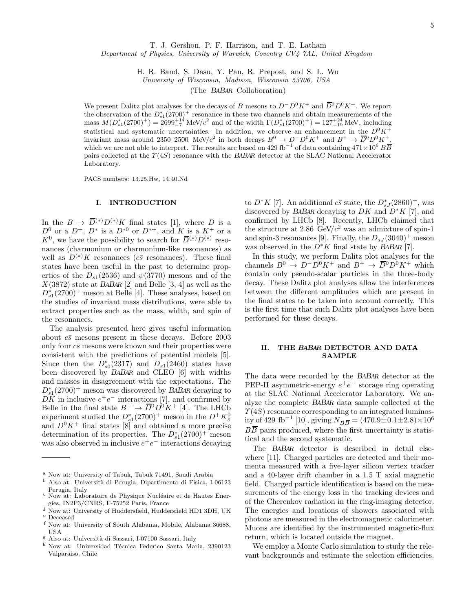T. J. Gershon, P. F. Harrison, and T. E. Latham

Department of Physics, University of Warwick, Coventry CV4 7AL, United Kingdom

H. R. Band, S. Dasu, Y. Pan, R. Prepost, and S. L. Wu

University of Wisconsin, Madison, Wisconsin 53706, USA

(The BABAR Collaboration)

We present Dalitz plot analyses for the decays of B mesons to  $D^{-}D^{0}K^{+}$  and  $\overline{D}^{0}D^{0}K^{+}$ . We report the observation of the  $D_{s1}^*(2700)^+$  resonance in these two channels and obtain measurements of the mass  $M(D_{s1}^*(2700)^+) = 2699_{-7}^{+14}$  MeV/ $c^2$  and of the width  $\Gamma(D_{s1}^*(2700)^+) = 127_{-19}^{+24}$  MeV, including statistical and systematic uncertainties. In addition, we observe an enhancement in the  $D^0 K^+$ invariant mass around 2350–2500 MeV/ $c^2$  in both decays  $B^0 \to D^- D^0 K^+$  and  $B^+ \to \overline{D}{}^0 D^0 K^+$ , which we are not able to interpret. The results are based on 429 fb<sup>-1</sup> of data containing  $471\times10^6$   $B\overline{B}$ pairs collected at the  $\Upsilon(4S)$  resonance with the BABAR detector at the SLAC National Accelerator Laboratory.

PACS numbers: 13.25.Hw, 14.40.Nd

## I. INTRODUCTION

In the  $B \to \overline{D}^{(*)}D^{(*)}K$  final states [1], where D is a  $D^0$  or a  $D^+$ ,  $D^*$  is a  $D^{*0}$  or  $D^{*+}$ , and K is a  $K^+$  or a  $K^0$ , we have the possibility to search for  $\overline{D}^{(*)}D^{(*)}$  resonances (charmonium or charmonium-like resonances) as well as  $D^{(*)}K$  resonances ( $c\bar{s}$  resonances). These final states have been useful in the past to determine properties of the  $D_{s1}(2536)$  and  $\psi(3770)$  mesons and of the  $X(3872)$  state at BABAR [2] and Belle [3, 4] as well as the  $D_{s1}^*(2700)^+$  meson at Belle [4]. These analyses, based on the studies of invariant mass distributions, were able to extract properties such as the mass, width, and spin of the resonances.

The analysis presented here gives useful information about  $c\bar{s}$  mesons present in these decays. Before 2003 only four  $c\bar{s}$  mesons were known and their properties were consistent with the predictions of potential models [5]. Since then the  $D_{s0}^*(2317)$  and  $D_{s1}(2460)$  states have been discovered by BABAR and CLEO [6] with widths and masses in disagreement with the expectations. The  $D_{s1}^*(2700)^+$  meson was discovered by BABAR decaying to  $\overrightarrow{DK}$  in inclusive  $e^+e^-$  interactions [7], and confirmed by Belle in the final state  $B^+ \to \overline{D}{}^0 D^0 K^+$  [4]. The LHCb experiment studied the  $D_{s1}^*(2700)^+$  meson in the  $D^+K_s^0$ and  $D^0 K^+$  final states [8] and obtained a more precise determination of its properties. The  $D_{s1}^*(2700)^+$  meson was also observed in inclusive  $e^+e^-$  interactions decaying

to  $D^*K$  [7]. An additional  $c\bar{s}$  state, the  $D^*_{sJ}(2860)^+$ , was discovered by BABAR decaying to  $DK$  and  $D*K$  [7], and confirmed by LHCb [8]. Recently, LHCb claimed that the structure at 2.86  $GeV/c^2$  was an admixture of spin-1 and spin-3 resonances [9]. Finally, the  $D_{sJ}(3040)^+$  meson was observed in the  $D^*K$  final state by BABAR [7].

In this study, we perform Dalitz plot analyses for the channels  $B^0 \to D^-D^0K^+$  and  $B^+ \to \overline{D}{}^0D^0K^+$  which contain only pseudo-scalar particles in the three-body decay. These Dalitz plot analyses allow the interferences between the different amplitudes which are present in the final states to be taken into account correctly. This is the first time that such Dalitz plot analyses have been performed for these decays.

### II. THE BABAR DETECTOR AND DATA SAMPLE

The data were recorded by the BABAR detector at the PEP-II asymmetric-energy  $e^+e^-$  storage ring operating at the SLAC National Accelerator Laboratory. We analyze the complete BABAR data sample collected at the  $\Upsilon(4S)$  resonance corresponding to an integrated luminosity of 429 fb<sup>-1</sup> [10], giving  $N_{B\overline{B}} = (470.9 \pm 0.1 \pm 2.8) \times 10^6$  $B\overline{B}$  pairs produced, where the first uncertainty is statistical and the second systematic.

The BABAR detector is described in detail elsewhere [11]. Charged particles are detected and their momenta measured with a five-layer silicon vertex tracker and a 40-layer drift chamber in a 1.5 T axial magnetic field. Charged particle identification is based on the measurements of the energy loss in the tracking devices and of the Cherenkov radiation in the ring-imaging detector. The energies and locations of showers associated with photons are measured in the electromagnetic calorimeter. Muons are identified by the instrumented magnetic-flux return, which is located outside the magnet.

We employ a Monte Carlo simulation to study the relevant backgrounds and estimate the selection efficiencies.

<sup>a</sup> Now at: University of Tabuk, Tabuk 71491, Saudi Arabia

 $^{\rm b}$  Also at: Università di Perugia, Dipartimento di Fisica, I-06123 Perugia, Italy

c Now at: Laboratoire de Physique Nucléaire et de Hautes Energies, IN2P3/CNRS, F-75252 Paris, France

 $^{\rm d}$  Now at: University of Huddersfield, Huddersfield HD1 3DH, UK <sup>e</sup> Deceased

<sup>f</sup> Now at: University of South Alabama, Mobile, Alabama 36688, USA

 $\,$ g Also at: Università di Sassari, I-07100 Sassari, Italy

 $^{\rm h}$  Now at: Universidad Técnica Federico Santa Maria, 2390123 Valparaiso, Chile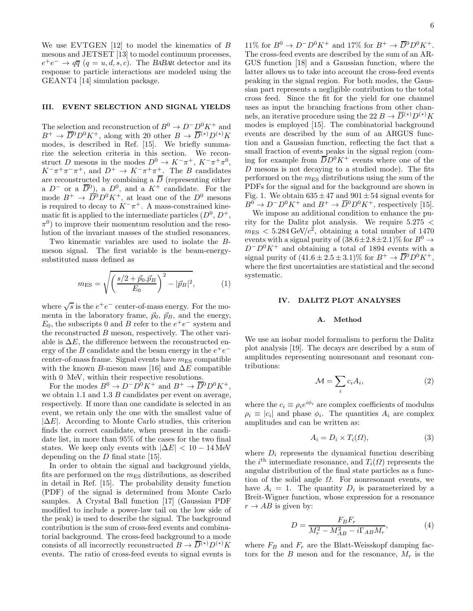We use EVTGEN  $[12]$  to model the kinematics of B mesons and JETSET [13] to model continuum processes,  $e^+e^- \rightarrow q\overline{q}$   $(q=u,d,s,c)$ . The BABAR detector and its response to particle interactions are modeled using the GEANT4 [14] simulation package.

#### III. EVENT SELECTION AND SIGNAL YIELDS

The selection and reconstruction of  $B^0 \to D^-D^0K^+$  and  $B^+ \to \overline{D}{}^0 D^0 K^+$ , along with 20 other  $B \to \overline{D}{}^{(*)} D^{(*)} K$ modes, is described in Ref. [15]. We briefly summarize the selection criteria in this section. We reconstruct D mesons in the modes  $D^0 \to K^-\pi^+$ ,  $K^-\pi^+\pi^0$ ,  $K^-\pi^+\pi^-\pi^+$ , and  $D^+\to K^-\pi^+\pi^+$ . The B candidates are reconstructed by combining a D (representing either a  $D^-$  or a  $\overline{D}{}^0$ , a  $D^0$ , and a  $K^+$  candidate. For the mode  $B^+ \to \overline{D}{}^0 D^0 K^+$ , at least one of the  $D^0$  mesons is required to decay to  $K^-\pi^+$ . A mass-constrained kinematic fit is applied to the intermediate particles  $(D^0, D^+,$  $\pi^{0}$ ) to improve their momentum resolution and the resolution of the invariant masses of the studied resonances.

Two kinematic variables are used to isolate the Bmeson signal. The first variable is the beam-energysubstituted mass defined as

$$
m_{\rm ES} = \sqrt{\left(\frac{s/2 + \vec{p}_0 \cdot \vec{p}_B}{E_0}\right)^2 - |\vec{p}_B|^2},\tag{1}
$$

where  $\sqrt{s}$  is the  $e^+e^-$  center-of-mass energy. For the momenta in the laboratory frame,  $\vec{p}_0$ ,  $\vec{p}_B$ , and the energy,  $E_0$ , the subscripts 0 and B refer to the  $e^+e^-$  system and the reconstructed B meson, respectively. The other variable is  $\Delta E$ , the difference between the reconstructed energy of the  $B$  candidate and the beam energy in the  $e^+e^$ center-of-mass frame. Signal events have  $m_{ES}$  compatible with the known B-meson mass [16] and  $\Delta E$  compatible with 0 MeV, within their respective resolutions.

For the modes  $B^0 \to D^- D^0 K^+$  and  $B^+ \to \overline{D}{}^0 D^0 K^+$ , we obtain 1.1 and 1.3 B candidates per event on average, respectively. If more than one candidate is selected in an event, we retain only the one with the smallest value of  $|\Delta E|$ . According to Monte Carlo studies, this criterion finds the correct candidate, when present in the candidate list, in more than 95% of the cases for the two final states. We keep only events with  $|\Delta E| < 10 - 14$  MeV depending on the  $D$  final state [15].

In order to obtain the signal and background yields, fits are performed on the  $m_{ES}$  distributions, as described in detail in Ref. [15]. The probability density function (PDF) of the signal is determined from Monte Carlo samples. A Crystal Ball function [17] (Gaussian PDF modified to include a power-law tail on the low side of the peak) is used to describe the signal. The background contribution is the sum of cross-feed events and combinatorial background. The cross-feed background to a mode consists of all incorrectly reconstructed  $B \to \overline{D}^{(*)}D^{(*)}K$ events. The ratio of cross-feed events to signal events is

11% for  $B^0 \to D^-D^0K^+$  and 17% for  $B^+ \to \overline{D}{}^0D^0K^+$ . The cross-feed events are described by the sum of an AR-GUS function [18] and a Gaussian function, where the latter allows us to take into account the cross-feed events peaking in the signal region. For both modes, the Gaussian part represents a negligible contribution to the total cross feed. Since the fit for the yield for one channel uses as input the branching fractions from other channels, an iterative procedure using the 22  $B \to \overline{D}^{(*)}D^{(*)}K$ modes is employed [15]. The combinatorial background events are described by the sum of an ARGUS function and a Gaussian function, reflecting the fact that a small fraction of events peaks in the signal region (coming for example from  $\overline{D}D^0K^+$  events where one of the  $D$  mesons is not decaying to a studied mode). The fits performed on the  $m_{ES}$  distributions using the sum of the PDFs for the signal and for the background are shown in Fig. 1. We obtain  $635 \pm 47$  and  $901 \pm 54$  signal events for  $B^0 \to D^-D^0K^+$  and  $B^+ \to \overline{D}{}^0D^0K^+$ , respectively [15].

We impose an additional condition to enhance the purity for the Dalitz plot analysis. We require  $5.275 <$  $m_{\text{ES}} < 5.284 \,\text{GeV}/c^2$ , obtaining a total number of 1470 events with a signal purity of  $(38.6 \pm 2.8 \pm 2.1)\%$  for  $B^0 \rightarrow$  $D^{\dagger}D^0K^{\dagger}$  and obtaining a total of 1894 events with a signal purity of  $(41.6 \pm 2.5 \pm 3.1)\%$  for  $B^+ \rightarrow \overline{D}{}^0 D^0 K^+$ , where the first uncertainties are statistical and the second systematic.

#### IV. DALITZ PLOT ANALYSES

#### A. Method

We use an isobar model formalism to perform the Dalitz plot analysis [19]. The decays are described by a sum of amplitudes representing nonresonant and resonant contributions:

$$
\mathcal{M} = \sum_{i} c_i A_i,\tag{2}
$$

where the  $c_i \equiv \rho_i e^{i\phi_i}$  are complex coefficients of modulus  $\rho_i \equiv |c_i|$  and phase  $\phi_i$ . The quantities  $A_i$  are complex amplitudes and can be written as:

$$
A_i = D_i \times T_i(\Omega),\tag{3}
$$

where  $D_i$  represents the dynamical function describing the  $i^{\text{th}}$  intermediate resonance, and  $T_i(\Omega)$  represents the angular distribution of the final state particles as a function of the solid angle  $\Omega$ . For nonresonant events, we have  $A_i = 1$ . The quantity  $D_i$  is parameterized by a Breit-Wigner function, whose expression for a resonance  $r \rightarrow AB$  is given by:

$$
D = \frac{F_B F_r}{M_r^2 - M_{AB}^2 - i \Gamma_{AB} M_r},\tag{4}
$$

where  $F_B$  and  $F_r$  are the Blatt-Weisskopf damping factors for the B meson and for the resonance,  $M_r$  is the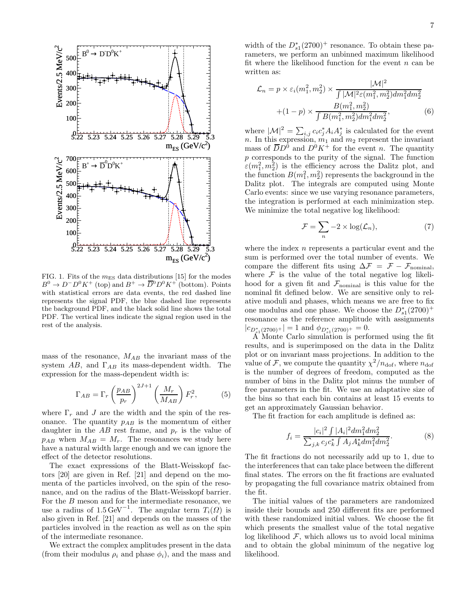

FIG. 1. Fits of the  $m_{ES}$  data distributions [15] for the modes  $B^0 \to D^- D^0 K^+$  (top) and  $B^+ \to \overline{D}{}^0 D^0 K^+$  (bottom). Points with statistical errors are data events, the red dashed line represents the signal PDF, the blue dashed line represents the background PDF, and the black solid line shows the total PDF. The vertical lines indicate the signal region used in the rest of the analysis.

mass of the resonance,  $M_{AB}$  the invariant mass of the system AB, and  $\Gamma_{AB}$  its mass-dependent width. The expression for the mass-dependent width is:

$$
\Gamma_{AB} = \Gamma_r \left(\frac{p_{AB}}{p_r}\right)^{2J+1} \left(\frac{M_r}{M_{AB}}\right) F_r^2,\tag{5}
$$

where  $\Gamma_r$  and J are the width and the spin of the resonance. The quantity  $p_{AB}$  is the momentum of either daughter in the  $AB$  rest frame, and  $p_r$  is the value of  $p_{AB}$  when  $M_{AB} = M_r$ . The resonances we study here have a natural width large enough and we can ignore the effect of the detector resolutions.

The exact expressions of the Blatt-Weisskopf factors [20] are given in Ref. [21] and depend on the momenta of the particles involved, on the spin of the resonance, and on the radius of the Blatt-Weisskopf barrier. For the B meson and for the intermediate resonance, we use a radius of  $1.5 \,\text{GeV}^{-1}$ . The angular term  $T_i(\Omega)$  is also given in Ref. [21] and depends on the masses of the particles involved in the reaction as well as on the spin of the intermediate resonance.

We extract the complex amplitudes present in the data (from their modulus  $\rho_i$  and phase  $\phi_i$ ), and the mass and

width of the  $D_{s1}^*(2700)^+$  resonance. To obtain these parameters, we perform an unbinned maximum likelihood fit where the likelihood function for the event  $n$  can be written as:

$$
\mathcal{L}_n = p \times \varepsilon_i(m_1^2, m_2^2) \times \frac{|\mathcal{M}|^2}{\int |\mathcal{M}|^2 \varepsilon(m_1^2, m_2^2) dm_1^2 dm_2^2} + (1 - p) \times \frac{B(m_1^2, m_2^2)}{\int B(m_1^2, m_2^2) dm_1^2 dm_2^2},
$$
(6)

where  $|\mathcal{M}|^2 = \sum_{i,j} c_i c_j^* A_i A_j^*$  is calculated for the event n. In this expression,  $m_1$  and  $m_2$  represent the invariant mass of  $\overline{D}D^0$  and  $D^0K^+$  for the event n. The quantity p corresponds to the purity of the signal. The function  $\varepsilon(m_1^2, m_2^2)$  is the efficiency across the Dalitz plot, and the function  $B(m_1^2, m_2^2)$  represents the background in the Dalitz plot. The integrals are computed using Monte Carlo events: since we use varying resonance parameters, the integration is performed at each minimization step. We minimize the total negative log likelihood:

$$
\mathcal{F} = \sum_{n} -2 \times \log(\mathcal{L}_n),\tag{7}
$$

where the index  $n$  represents a particular event and the sum is performed over the total number of events. We compare the different fits using  $\Delta \mathcal{F} = \mathcal{F} - \mathcal{F}_{nominal}$ , where  $F$  is the value of the total negative log likelihood for a given fit and  $\mathcal{F}_{nominal}$  is this value for the nominal fit defined below. We are sensitive only to relative moduli and phases, which means we are free to fix one modulus and one phase. We choose the  $D_{s1}^*(2700)^+$ resonance as the reference amplitude with assignments  $|c_{D_{s1}^*(2700)^+}|=1$  and  $\phi_{D_{s1}^*(2700)^+}=0$ .

A Monte Carlo simulation is performed using the fit results, and is superimposed on the data in the Dalitz plot or on invariant mass projections. In addition to the value of F, we compute the quantity  $\chi^2/n_{\text{dof}}$ , where  $n_{\text{dof}}$ is the number of degrees of freedom, computed as the number of bins in the Dalitz plot minus the number of free parameters in the fit. We use an adaptative size of the bins so that each bin contains at least 15 events to get an approximately Gaussian behavior.

The fit fraction for each amplitude is defined as:

$$
f_i = \frac{|c_i|^2 \int |A_i|^2 dm_1^2 dm_2^2}{\sum_{j,k} c_j c_k^* \int A_j A_k^* dm_1^2 dm_2^2}.
$$
 (8)

The fit fractions do not necessarily add up to 1, due to the interferences that can take place between the different final states. The errors on the fit fractions are evaluated by propagating the full covariance matrix obtained from the fit.

The initial values of the parameters are randomized inside their bounds and 250 different fits are performed with these randomized initial values. We choose the fit which presents the smallest value of the total negative log likelihood  $F$ , which allows us to avoid local minima and to obtain the global minimum of the negative log likelihood.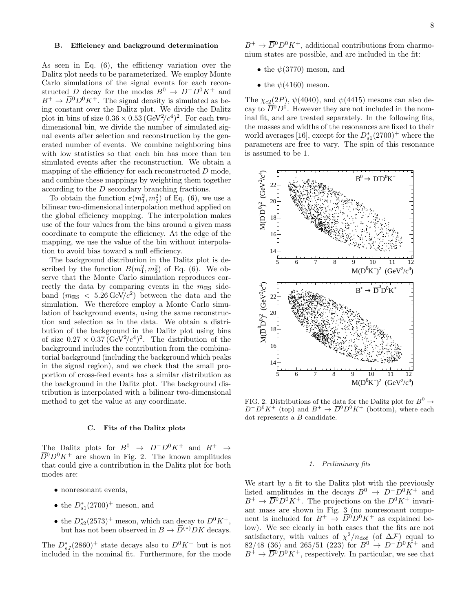## B. Efficiency and background determination

As seen in Eq. (6), the efficiency variation over the Dalitz plot needs to be parameterized. We employ Monte Carlo simulations of the signal events for each reconstructed D decay for the modes  $B^0 \to D^-D^0K^+$  and  $B^+ \to \overline{D}{}^0 D^0 K^+$ . The signal density is simulated as being constant over the Dalitz plot. We divide the Dalitz plot in bins of size  $0.36 \times 0.53 \, (\text{GeV}^2/c^4)^2$ . For each twodimensional bin, we divide the number of simulated signal events after selection and reconstruction by the generated number of events. We combine neighboring bins with low statistics so that each bin has more than ten simulated events after the reconstruction. We obtain a mapping of the efficiency for each reconstructed  $D$  mode, and combine these mappings by weighting them together according to the D secondary branching fractions.

To obtain the function  $\varepsilon(m_1^2, m_2^2)$  of Eq. (6), we use a bilinear two-dimensional interpolation method applied on the global efficiency mapping. The interpolation makes use of the four values from the bins around a given mass coordinate to compute the efficiency. At the edge of the mapping, we use the value of the bin without interpolation to avoid bias toward a null efficiency.

The background distribution in the Dalitz plot is described by the function  $B(m_1^2, m_2^2)$  of Eq. (6). We observe that the Monte Carlo simulation reproduces correctly the data by comparing events in the  $m_{ES}$  sideband  $(m_{ES} < 5.26 \,\text{GeV}/c^2)$  between the data and the simulation. We therefore employ a Monte Carlo simulation of background events, using the same reconstruction and selection as in the data. We obtain a distribution of the background in the Dalitz plot using bins of size  $0.27 \times 0.37 \, (\text{GeV}^2/c^4)^2$ . The distribution of the background includes the contribution from the combinatorial background (including the background which peaks in the signal region), and we check that the small proportion of cross-feed events has a similar distribution as the background in the Dalitz plot. The background distribution is interpolated with a bilinear two-dimensional method to get the value at any coordinate.

#### C. Fits of the Dalitz plots

The Dalitz plots for  $B^0 \rightarrow D^-D^0K^+$  and  $B^+ \rightarrow$  $\overline{D}{}^0D^0K^+$  are shown in Fig. 2. The known amplitudes that could give a contribution in the Dalitz plot for both modes are:

- nonresonant events,
- the  $D_{s1}^*(2700)^+$  meson, and
- the  $D_{s2}^*(2573)^+$  meson, which can decay to  $D^0 K^+$ , but has not been observed in  $B \to \overline{D}^{(*)} D K$  decays.

The  $D_{sJ}^*(2860)^+$  state decays also to  $D^0K^+$  but is not included in the nominal fit. Furthermore, for the mode

 $B^+ \to \overline{D}{}^0 D^0 K^+$ , additional contributions from charmonium states are possible, and are included in the fit:

- the  $\psi(3770)$  meson, and
- the  $\psi(4160)$  meson.

The  $\chi_{c2}(2P)$ ,  $\psi(4040)$ , and  $\psi(4415)$  mesons can also decay to  $\overline{D}{}^0 D^0$ . However they are not included in the nominal fit, and are treated separately. In the following fits, the masses and widths of the resonances are fixed to their world averages [16], except for the  $D_{s1}^*(2700)^+$  where the parameters are free to vary. The spin of this resonance is assumed to be 1.



FIG. 2. Distributions of the data for the Dalitz plot for  $B^0 \to$  $D^{-}D^{0}K^{+}$  (top) and  $B^{+} \to \overline{D}{}^{0}D^{0}K^{+}$  (bottom), where each dot represents a B candidate.

#### 1. Preliminary fits

We start by a fit to the Dalitz plot with the previously listed amplitudes in the decays  $B^0 \rightarrow D^-D^0K^+$  and  $B^+ \to \overline{D}^0 D^0 K^+$ . The projections on the  $D^0 K^+$  invariant mass are shown in Fig. 3 (no nonresonant component is included for  $B^+ \to \overline{D}{}^0 D^0 K^+$  as explained below). We see clearly in both cases that the fits are not satisfactory, with values of  $\chi^2/n_{\text{dof}}$  (of  $\Delta \mathcal{F}$ ) equal to  $82/48$  (36) and 265/51 (223) for  $B^0 \to D^-D^0K^+$  and  $B^+ \rightarrow \overline{D}{}^0 D^0 K^+$ , respectively. In particular, we see that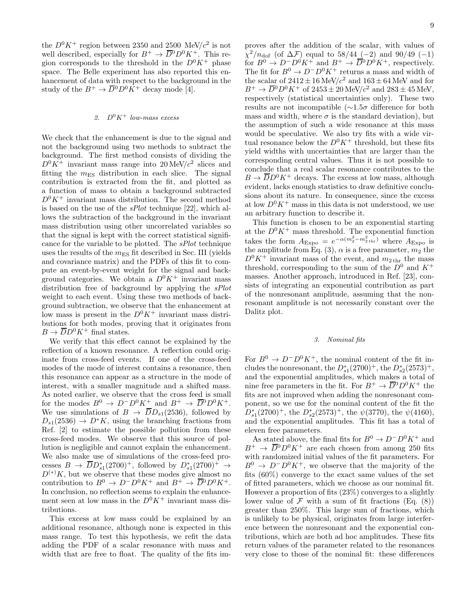the  $D^0 K^+$  region between 2350 and 2500 MeV/ $c^2$  is not well described, especially for  $B^+ \to \overline{D}{}^0 D^0 K^+$ . This region corresponds to the threshold in the  $D^0 K^+$  phase space. The Belle experiment has also reported this enhancement of data with respect to the background in the study of the  $B^+ \to \overline{D}{}^0 D^0 K^+$  decay mode [4].

## 2.  $D^0 K^+$  low-mass excess

We check that the enhancement is due to the signal and not the background using two methods to subtract the background. The first method consists of dividing the  $D^0 K^+$  invariant mass range into  $20 \text{ MeV}/c^2$  slices and fitting the  $m_{ES}$  distribution in each slice. The signal contribution is extracted from the fit, and plotted as a function of mass to obtain a background subtracted  $D^0 K^+$  invariant mass distribution. The second method is based on the use of the sPlot technique [22], which allows the subtraction of the background in the invariant mass distribution using other uncorrelated variables so that the signal is kept with the correct statistical significance for the variable to be plotted. The sPlot technique uses the results of the  $m_{ES}$  fit described in Sec. III (yields and covariance matrix) and the PDFs of this fit to compute an event-by-event weight for the signal and background categories. We obtain a  $D^0 K^+$  invariant mass distribution free of background by applying the *sPlot* weight to each event. Using these two methods of background subtraction, we observe that the enhancement at low mass is present in the  $D^0 K^+$  invariant mass distributions for both modes, proving that it originates from  $B \to \overline{D}D^0K^+$  final states.

We verify that this effect cannot be explained by the reflection of a known resonance. A reflection could originate from cross-feed events. If one of the cross-feed modes of the mode of interest contains a resonance, then this resonance can appear as a structure in the mode of interest, with a smaller magnitude and a shifted mass. As noted earlier, we observe that the cross feed is small for the modes  $B^0 \to D^-D^0K^+$  and  $B^+ \to \overline{D}{}^0D^0K^+$ . We use simulations of  $B \to \overline{D}D_{s1}(2536)$ , followed by  $D_{s1}(2536) \rightarrow D^*K$ , using the branching fractions from Ref. [2] to estimate the possible pollution from these cross-feed modes. We observe that this source of pollution is negligible and cannot explain the enhancement. We also make use of simulations of the cross-feed processes  $B \to \overline{D}D_{s1}^*(2700)^+$ , followed by  $D_{s1}^*(2700)^+ \to$  $D^{(*)}K$ , but we observe that these modes give almost no contribution to  $B^0 \to D^-D^0K^+$  and  $B^+ \to \overline{D}{}^0D^0K^+$ . In conclusion, no reflection seems to explain the enhancement seen at low mass in the  $D^0 K^+$  invariant mass distributions.

This excess at low mass could be explained by an additional resonance, although none is expected in this mass range. To test this hypothesis, we refit the data adding the PDF of a scalar resonance with mass and width that are free to float. The quality of the fits im-

proves after the addition of the scalar, with values of  $\chi^2/n_{\text{dof}}$  (of  $\Delta \mathcal{F}$ ) equal to 58/44 (-2) and 90/49 (-1) for  $B^0 \to D^-D^0K^+$  and  $B^+ \to \overline{D}{}^0D^0K^+$ , respectively. The fit for  $B^0 \to D^-D^0K^+$  returns a mass and width of the scalar of  $2412 \pm 16$  MeV/ $c^2$  and  $163 \pm 64$  MeV and for  $B^+ \to \overline{D}{}^0 D^0 K^+$  of  $2453 \pm 20$  MeV/ $c^2$  and  $283 \pm 45$  MeV, respectively (statistical uncertainties only). These two results are not incompatible (∼1.5σ difference for both mass and width, where  $\sigma$  is the standard deviation), but the assumption of such a wide resonance at this mass would be speculative. We also try fits with a wide virtual resonance below the  $D^0 K^+$  threshold, but these fits yield widths with uncertainties that are larger than the corresponding central values. Thus it is not possible to conclude that a real scalar resonance contributes to the  $B \to \overline{D}D^0 K^+$  decays. The excess at low mass, although evident, lacks enough statistics to draw definitive conclusions about its nature. In consequence, since the excess at low  $D^0 K^+$  mass in this data is not understood, we use an arbitrary function to describe it.

This function is chosen to be an exponential starting at the  $D^0K^+$  mass threshold. The exponential function takes the form  $A_{\text{Expo}} = e^{-\alpha(m_2^2 - m_2^2 + \text{hr})}$  where  $A_{\text{Expo}}$  is the amplitude from Eq. (3),  $\alpha$  is a free parameter,  $m_2$  the  $D^0 K^+$  invariant mass of the event, and  $m_{2\text{ thr}}$  the mass threshold, corresponding to the sum of the  $D^0$  and  $K^+$ masses. Another approach, introduced in Ref. [23], consists of integrating an exponential contribution as part of the nonresonant amplitude, assuming that the nonresonant amplitude is not necessarily constant over the Dalitz plot.

## 3. Nominal fits

For  $B^0 \to D^-D^0K^+$ , the nominal content of the fit includes the nonresonant, the  $D_{s1}^*(2700)^+$ , the  $D_{s2}^*(2573)^+$ , and the exponential amplitudes, which makes a total of nine free parameters in the fit. For  $B^+ \to \overline{D}{}^0 D^0 K^+$  the fits are not improved when adding the nonresonant component, so we use for the nominal content of the fit the  $D_{s1}^*(2700)^+$ , the  $D_{s2}^*(2573)^+$ , the  $\psi(3770)$ , the  $\psi(4160)$ , and the exponential amplitudes. This fit has a total of eleven free parameters.

As stated above, the final fits for  $B^0 \to D^- D^0 K^+$  and  $B^+ \to \overline{D}{}^0 D^0 K^+$  are each chosen from among 250 fits with randomized initial values of the fit parameters. For  $B^0 \to D^-D^0K^+$ , we observe that the majority of the fits (60%) converge to the exact same values of the set of fitted parameters, which we choose as our nominal fit. However a proportion of fits (23%) converges to a slightly lower value of  $\mathcal F$  with a sum of fit fractions (Eq. (8)) greater than 250%. This large sum of fractions, which is unlikely to be physical, originates from large interference between the nonresonant and the exponential contributions, which are both ad hoc amplitudes. These fits return values of the parameter related to the resonances very close to those of the nominal fit: these differences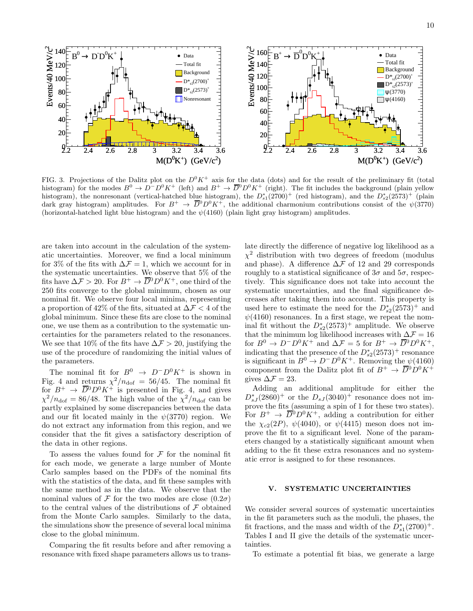

FIG. 3. Projections of the Dalitz plot on the  $D^0 K^+$  axis for the data (dots) and for the result of the preliminary fit (total histogram) for the modes  $B^0 \to D^- D^0 K^+$  (left) and  $B^+ \to \overline{D}^0 D^0 K^+$  (right). The fit includes the background (plain yellow histogram), the nonresonant (vertical-hatched blue histogram), the  $D_{s1}^*(2700)^+$  (red histogram), and the  $D_{s2}^*(2573)^+$  (plain dark gray histogram) amplitudes. For  $B^+ \to \overline{D}{}^0 D^0 K^+$ , the additional charmonium contributions consist of the  $\psi(3770)$ (horizontal-hatched light blue histogram) and the  $\psi(4160)$  (plain light gray histogram) amplitudes.

are taken into account in the calculation of the systematic uncertainties. Moreover, we find a local minimum for 3% of the fits with  $\Delta \mathcal{F} = 1$ , which we account for in the systematic uncertainties. We observe that 5% of the fits have  $\Delta \mathcal{F} > 20$ . For  $B^+ \to \overline{D}{}^0 D^0 K^+$ , one third of the 250 fits converge to the global minimum, chosen as our nominal fit. We observe four local minima, representing a proportion of 42% of the fits, situated at  $\Delta \mathcal{F} < 4$  of the global minimum. Since these fits are close to the nominal one, we use them as a contribution to the systematic uncertainties for the parameters related to the resonances. We see that 10% of the fits have  $\Delta \mathcal{F} > 20$ , justifying the use of the procedure of randomizing the initial values of the parameters.

The nominal fit for  $B^0 \rightarrow D^-D^0K^+$  is shown in Fig. 4 and returns  $\chi^2/n_{\text{dof}} = 56/45$ . The nominal fit for  $B^+ \to \overline{D}{}^0 D^0 K^+$  is presented in Fig. 4, and gives  $\chi^2/n_{\text{dof}} = 86/48$ . The high value of the  $\chi^2/n_{\text{dof}}$  can be partly explained by some discrepancies between the data and our fit located mainly in the  $\psi(3770)$  region. We do not extract any information from this region, and we consider that the fit gives a satisfactory description of the data in other regions.

To assess the values found for  ${\mathcal F}$  for the nominal fit for each mode, we generate a large number of Monte Carlo samples based on the PDFs of the nominal fits with the statistics of the data, and fit these samples with the same method as in the data. We observe that the nominal values of F for the two modes are close  $(0.2\sigma)$ to the central values of the distributions of  $\mathcal F$  obtained from the Monte Carlo samples. Similarly to the data, the simulations show the presence of several local minima close to the global minimum.

Comparing the fit results before and after removing a resonance with fixed shape parameters allows us to translate directly the difference of negative log likelihood as a  $\chi^2$  distribution with two degrees of freedom (modulus and phase). A difference  $\Delta \mathcal{F}$  of 12 and 29 corresponds roughly to a statistical significance of  $3\sigma$  and  $5\sigma$ , respectively. This significance does not take into account the systematic uncertainties, and the final significance decreases after taking them into account. This property is used here to estimate the need for the  $D_{s2}^*(2573)^+$  and  $\psi(4160)$  resonances. In a first stage, we repeat the nominal fit without the  $D_{s2}^*(2573)^+$  amplitude. We observe that the minimum log likelihood increases with  $\Delta\mathcal{F}=16$ for  $B^0 \to D^-D^0K^+$  and  $\Delta \mathcal{F} = 5$  for  $B^+ \to \overline{D}{}^0D^0K^+$ , indicating that the presence of the  $D_{s2}^*(2573)^+$  resonance is significant in  $B^0 \to D^- D^0 K^+$ . Removing the  $\psi(4160)$ component from the Dalitz plot fit of  $B^+ \to \overline{D}{}^0 D^0 K^+$ gives  $\Delta \mathcal{F} = 23$ .

Adding an additional amplitude for either the  $D_{sJ}^*(2860)^+$  or the  $D_{sJ}(3040)^+$  resonance does not improve the fits (assuming a spin of 1 for these two states). For  $B^+ \to \overline{D}{}^0 D^0 K^+$ , adding a contribution for either the  $\chi_{c2}(2P)$ ,  $\psi(4040)$ , or  $\psi(4415)$  meson does not improve the fit to a significant level. None of the parameters changed by a statistically significant amount when adding to the fit these extra resonances and no systematic error is assigned to for these resonances.

## V. SYSTEMATIC UNCERTAINTIES

We consider several sources of systematic uncertainties in the fit parameters such as the moduli, the phases, the fit fractions, and the mass and width of the  $\hat{D}_{s1}^*(2700)^+$ . Tables I and II give the details of the systematic uncertainties.

To estimate a potential fit bias, we generate a large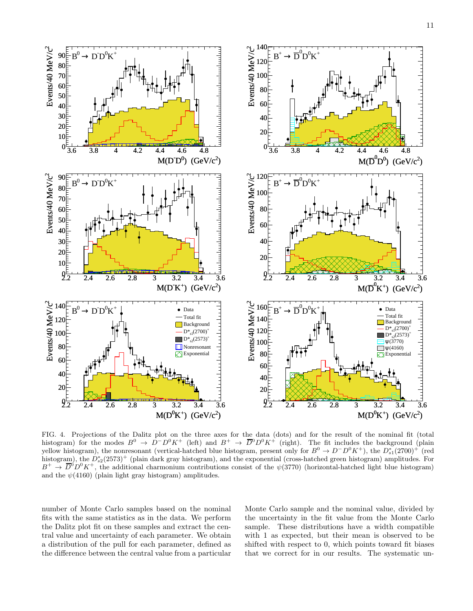

FIG. 4. Projections of the Dalitz plot on the three axes for the data (dots) and for the result of the nominal fit (total histogram) for the modes  $B^0 \to D^-D^0K^+$  (left) and  $B^+ \to \overline{D}{}^0D^0K^+$  (right). The fit includes the background (plain yellow histogram), the nonresonant (vertical-hatched blue histogram, present only for  $B^0 \to D^- D^0 K^+$ ), the  $D_{s1}^*(2700)^+$  (red histogram), the  $D_{s2}^*(2573)^+$  (plain dark gray histogram), and the exponential (cross-hatched green histogram) amplitudes. For  $B^+ \to \overline{D}^0 D^0 K^+$ , the additional charmonium contributions consist of the  $\psi(3770)$  (horizontal-hatched light blue histogram) and the  $\psi(4160)$  (plain light gray histogram) amplitudes.

number of Monte Carlo samples based on the nominal fits with the same statistics as in the data. We perform the Dalitz plot fit on these samples and extract the central value and uncertainty of each parameter. We obtain a distribution of the pull for each parameter, defined as the difference between the central value from a particular Monte Carlo sample and the nominal value, divided by the uncertainty in the fit value from the Monte Carlo sample. These distributions have a width compatible with 1 as expected, but their mean is observed to be shifted with respect to 0, which points toward fit biases that we correct for in our results. The systematic un-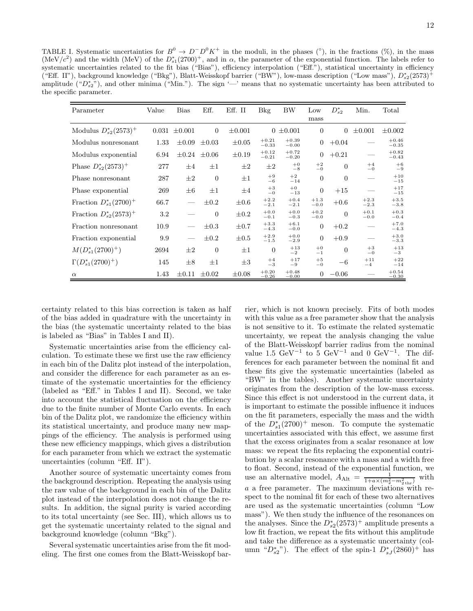TABLE I. Systematic uncertainties for  $B^0 \to D^- D^0 K^+$  in the moduli, in the phases (°), in the fractions (%), in the mass (MeV/c<sup>2</sup>) and the width (MeV) of the  $D_{s1}^*(2700)^+$ , and in  $\alpha$ , the parameter of the exponential function. The labels refer to systematic uncertainties related to the fit bias ("Bias"), efficiency interpolation ("Eff."), statistical uncertainty in efficiency ("Eff. II"), background knowledge ("Bkg"), Blatt-Weisskopf barrier ("BW"), low-mass description ("Low mass"),  $D_{s2}^*(2573)^+$ amplitude (" $D_{s2}^*$ "), and other minima ("Min."). The sign '—' means that no systematic uncertainty has been attributed to the specific parameter.

| Parameter                   | Value | <b>Bias</b> | Eff.                | Eff. II     | <b>Bkg</b>         | BW                 | Low              | $D_{s2}^*$     | Min.             | Total              |
|-----------------------------|-------|-------------|---------------------|-------------|--------------------|--------------------|------------------|----------------|------------------|--------------------|
|                             |       |             |                     |             |                    |                    | mass             |                |                  |                    |
| Modulus $D_{s2}^*(2573)^+$  | 0.031 | $\pm 0.001$ | $\theta$            | $\pm 0.001$ |                    | $0 \pm 0.001$      | $\theta$         | $\overline{0}$ | $\pm 0.001$      | $\pm 0.002$        |
| Modulus nonresonant         | 1.33  | $\pm 0.09$  | $\pm 0.03$          | $\pm 0.05$  | $+0.21$<br>$-0.33$ | $+0.39$<br>$-0.00$ | $\boldsymbol{0}$ | $+0.04$        |                  | $+0.46$<br>$-0.35$ |
| Modulus exponential         | 6.94  |             | $\pm 0.24 \pm 0.06$ | $\pm 0.19$  | $+0.12$<br>$-0.21$ | $+0.72$<br>$-0.20$ | $\theta$         | $+0.21$        |                  | $+0.82$<br>$-0.43$ |
| Phase $D_{s2}^*(2573)^+$    | 277   | $\pm 4$     | $\pm 1$             | $\pm 2$     | $\pm 2$            | $+0$<br>$-8$       | $+2$<br>$-0$     | $\theta$       | $+4$<br>$-0$     | $+6$<br>$-9$       |
| Phase nonresonant           | 287   | $\pm 2$     | $\theta$            | $\pm 1$     | $+9$<br>$-6$       | $+2$<br>$-14$      | $\theta$         | $\theta$       |                  | $+10$<br>$-15$     |
| Phase exponential           | 269   | $\pm 6$     | $\pm 1$             | $\pm 4$     | $+3$<br>$-0$       | $+0$<br>$-13$      | $\overline{0}$   | $+15$          |                  | $+17$<br>$-15$     |
| Fraction $D_{s1}^*(2700)^+$ | 66.7  |             | $\pm 0.2$           | $\pm 0.6$   | $+2.2$<br>$-2.1$   | $+0.4$<br>$-2.1$   | $+1.3$<br>$-0.0$ | $+0.6$         | $+2.3$<br>$-2.3$ | $+3.5$<br>$-3.8$   |
| Fraction $D_{s2}^*(2573)^+$ | 3.2   |             | $\Omega$            | $\pm 0.2$   | $+0.0$<br>$-0.1$   | $+0.0$<br>$-0.3$   | $+0.2$<br>$-0.0$ | $\overline{0}$ | $+0.1$<br>$-0.0$ | $+0.3$<br>$-0.4$   |
| Fraction nonresonant        | 10.9  |             | $\pm 0.3$           | $\pm 0.7$   | $+3.3$<br>$-4.3$   | $+6.1$<br>$-0.0$   | $\overline{0}$   | $+0.2$         |                  | $+7.0$<br>$-4.3$   |
| Fraction exponential        | 9.9   |             | $\pm 0.2$           | $\pm 0.5$   | $+2.9$<br>$-1.5$   | $+0.0$<br>$-2.9$   | $\overline{0}$   | $+0.9$         |                  | $+3.0$<br>$-3.3$   |
| $M(D_{s1}^*(2700)^+)$       | 2694  | $\pm 2$     | $\theta$            | $\pm 1$     | $\theta$           | $+13$<br>$^{-2}$   | $+0$<br>$-1$     | $\Omega$       | $+3$<br>$-0$     | $+13$<br>$-3$      |
| $\Gamma(D_{s1}^*(2700)^+)$  | 145   | $\pm 8$     | $\pm 1$             | $\pm 3$     | $+4$<br>$-3$       | $+17$<br>$-9$      | $+5$<br>$-0$     | $-6$           | $+11$<br>$-4$    | $+22$<br>$-14$     |
| $\alpha$                    | 1.43  | $\pm 0.11$  | $\pm 0.02$          | $\pm 0.08$  | $+0.20$<br>$-0.26$ | $+0.48$<br>$-0.00$ | $\overline{0}$   | $-0.06$        |                  | $+0.54$<br>$-0.30$ |

certainty related to this bias correction is taken as half of the bias added in quadrature with the uncertainty in the bias (the systematic uncertainty related to the bias is labeled as "Bias" in Tables I and II).

Systematic uncertainties arise from the efficiency calculation. To estimate these we first use the raw efficiency in each bin of the Dalitz plot instead of the interpolation, and consider the difference for each parameter as an estimate of the systematic uncertainties for the efficiency (labeled as "Eff." in Tables I and II). Second, we take into account the statistical fluctuation on the efficiency due to the finite number of Monte Carlo events. In each bin of the Dalitz plot, we randomize the efficiency within its statistical uncertainty, and produce many new mappings of the efficiency. The analysis is performed using these new efficiency mappings, which gives a distribution for each parameter from which we extract the systematic uncertainties (column "Eff. II").

Another source of systematic uncertainty comes from the background description. Repeating the analysis using the raw value of the background in each bin of the Dalitz plot instead of the interpolation does not change the results. In addition, the signal purity is varied according to its total uncertainty (see Sec. III), which allows us to get the systematic uncertainty related to the signal and background knowledge (column "Bkg").

Several systematic uncertainties arise from the fit modeling. The first one comes from the Blatt-Weisskopf barrier, which is not known precisely. Fits of both modes with this value as a free parameter show that the analysis is not sensitive to it. To estimate the related systematic uncertainty, we repeat the analysis changing the value of the Blatt-Weisskopf barrier radius from the nominal value 1.5  $\text{GeV}^{-1}$  to 5  $\text{GeV}^{-1}$  and 0  $\text{GeV}^{-1}$ . The differences for each parameter between the nominal fit and these fits give the systematic uncertainties (labeled as "BW" in the tables). Another systematic uncertainty originates from the description of the low-mass excess. Since this effect is not understood in the current data, it is important to estimate the possible influence it induces on the fit parameters, especially the mass and the width of the  $D_{s1}^{*}(2700)^{+}$  meson. To compute the systematic uncertainties associated with this effect, we assume first that the excess originates from a scalar resonance at low mass: we repeat the fits replacing the exponential contribution by a scalar resonance with a mass and a width free to float. Second, instead of the exponential function, we use an alternative model,  $A_{\text{Alt}} = \frac{1}{1 + a \times (m_2^2 - m_{2\text{ thr}}^2)}$  with a a free parameter. The maximum deviations with respect to the nominal fit for each of these two alternatives are used as the systematic uncertainties (column "Low mass"). We then study the influence of the resonances on the analyses. Since the  $D_{s2}^*(2573)^+$  amplitude presents a low fit fraction, we repeat the fits without this amplitude and take the difference as a systematic uncertainty (column " $D_{s2}^*$ "). The effect of the spin-1  $D_{sJ}^*(2860)^+$  has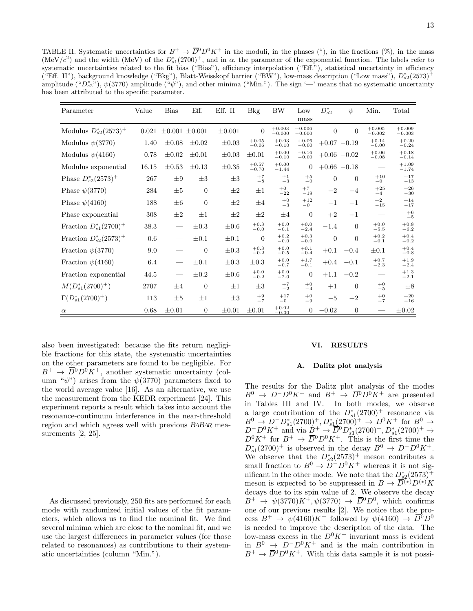TABLE II. Systematic uncertainties for  $B^+ \to \overline{D}{}^0 D^0 K^+$  in the moduli, in the phases (°), in the fractions (%), in the mass (MeV/c<sup>2</sup>) and the width (MeV) of the  $D_{s1}^*(2700)^+$ , and in  $\alpha$ , the parameter of the exponential function. The labels refer to systematic uncertainties related to the fit bias ("Bias"), efficiency interpolation ("Eff."), statistical uncertainty in efficiency ("Eff. II"), background knowledge ("Bkg"), Blatt-Weisskopf barrier ("BW"), low-mass description ("Low mass"),  $D_{s2}^*(2573)^+$ amplitude (" $D_{s2}^*$ "),  $\psi(3770)$  amplitude (" $\psi$ "), and other minima ("Min."). The sign '—' means that no systematic uncertainty has been attributed to the specific parameter.

| Parameter                   | Value   | <b>Bias</b>           | Eff.             | Eff. II     | <b>Bkg</b>         | <b>BW</b>            | Low                  | $D_{s2}^*$     | $\psi$           | Min.                 | Total                |
|-----------------------------|---------|-----------------------|------------------|-------------|--------------------|----------------------|----------------------|----------------|------------------|----------------------|----------------------|
|                             |         |                       |                  |             |                    |                      | mass                 |                |                  |                      |                      |
| Modulus $D_{s2}^*(2573)^+$  | 0.021   | $\pm 0.001 \pm 0.001$ |                  | $\pm 0.001$ | $\overline{0}$     | $+0.003$<br>$-0.000$ | $+0.006$<br>$-0.000$ | $\theta$       | $\overline{0}$   | $+0.005$<br>$-0.002$ | $+0.009$<br>$-0.003$ |
| Modulus $\psi(3770)$        | 1.40    | $\pm 0.08$            | $\pm 0.02$       | $\pm 0.03$  | $+0.05$<br>$-0.06$ | $+0.03$<br>$-0.10$   | $+0.06$<br>$-0.00$   |                | $+0.07 -0.19$    | $+0.14$<br>$-0.00$   | $+0.20$<br>$-0.24$   |
| Modulus $\psi(4160)$        | 0.78    | $\pm 0.02$            | $\pm 0.01$       | $\pm 0.03$  | $\pm 0.01$         | $+0.00$<br>$-0.10$   | $+0.16$<br>$-0.00$   |                | $+0.06 -0.02$    | $+0.06$<br>$-0.08$   | $+0.18$<br>$-0.14$   |
| Modulus exponential         | 16.15   | $\pm 0.53$            | $\pm 0.13$       | $\pm 0.35$  | $+0.57$<br>$-0.70$ | $+0.00$<br>$-1.44$   | $\overline{0}$       |                | $+0.66 - 0.18$   |                      | $+1.09$<br>$-1.74$   |
| Phase $D_{s2}^*(2573)^+$    | 267     | $\pm 9$               | $\pm 3$          | $\pm 3$     | $+7$<br>$-8$       | $+1$<br>$-3$         | $+5$<br>$-0$         | $\theta$       | $\boldsymbol{0}$ | $+10$<br>$-0$        | $+17$<br>$-13$       |
| Phase $\psi(3770)$          | 284     | $\pm 5$               | $\theta$         | $\pm 2$     | $\pm 1$            | $+0$<br>$-22$        | $+7$<br>$-19$        | $-2$           | $-4$             | $+25$<br>$-4$        | $+26$<br>$-30$       |
| Phase $\psi(4160)$          | 188     | $\pm 6$               | $\theta$         | $\pm 2$     | $\pm 4$            | $+0$<br>$-3$         | $+12$<br>$-0$        | $^{-1}$        | $+1$             | $+2$<br>$-15$        | $+14$<br>$-17$       |
| Phase exponential           | 308     | $\pm 2$               | $\pm 1$          | $\pm 2$     | $\pm 2$            | $\pm 4$              | $\mathbf{0}$         | $+2$           | $+1$             |                      | $+6$<br>$-5$         |
| Fraction $D_{s1}^*(2700)^+$ | 38.3    |                       | $\pm 0.3$        | $\pm 0.6$   | $+0.3$<br>$-0.0$   | $+0.0$<br>$-0.1$     | $+0.0$<br>$-2.4$     | $-1.4$         | $\overline{0}$   | $+0.0$<br>$-5.5$     | $+0.8$<br>$-6.2$     |
| Fraction $D_{s2}^*(2573)^+$ | $0.6\,$ |                       | $\pm 0.1$        | $\pm 0.1$   | $\theta$           | $+0.2$<br>$-0.0$     | $+0.3$<br>$-0.0$     | $\overline{0}$ | $\boldsymbol{0}$ | $+0.2$<br>$-0.1$     | $+0.4$<br>$-0.2$     |
| Fraction $\psi(3770)$       | 9.0     |                       | $\overline{0}$   | $\pm 0.3$   | $+0.3$<br>$-0.2$   | $+0.0$<br>$-0.5$     | $+0.1$<br>$-0.4$     | $+0.1$         | $-0.4$           | $\pm 0.1$            | $+0.4$<br>$-0.8$     |
| Fraction $\psi(4160)$       | 6.4     |                       | $\pm 0.1$        | $\pm 0.3$   | $\pm 0.3$          | $+0.0$<br>$-0.7$     | $+1.7$<br>$-0.1$     | $+0.4$         | $-0.1$           | $+0.7$<br>$-2.3$     | $+1.9$<br>$-2.4$     |
| Fraction exponential        | 44.5    |                       | $\pm 0.2$        | $\pm 0.6$   | $+0.0$<br>$-0.2$   | $+0.0$<br>$-2.0$     | $\overline{0}$       | $+1.1$         | $-0.2$           |                      | $+1.3$<br>$-2.1$     |
| $M(D_{s1}^*(2700)^+)$       | 2707    | $\pm 4$               | $\overline{0}$   | $\pm 1$     | $\pm 3$            | $+7$<br>$-2$         | $+0$<br>$-4$         | $+1$           | $\theta$         | $+0$<br>$-5$         | $\pm 8$              |
| $\Gamma(D_{s1}^*(2700)^+)$  | 113     | $\pm 5$               | $\pm 1$          | $\pm 3$     | $+9$<br>$-7$       | $+17$<br>$-0$        | $+0$<br>$-9$         | $-5$           | $+2$             | $+0$<br>$-7$         | $+20$<br>$-16$       |
| $\alpha$                    | 0.68    | $\pm 0.01$            | $\boldsymbol{0}$ | $\pm 0.01$  | $\pm 0.01$         | $+0.02$<br>$-0.00$   | $\boldsymbol{0}$     | $-0.02$        | $\theta$         |                      | $\pm 0.02$           |

also been investigated: because the fits return negligible fractions for this state, the systematic uncertainties on the other parameters are found to be negligible. For  $B^+ \to \overline{D}{}^0 D^0 K^+$ , another systematic uncertainty (column " $\psi$ ") arises from the  $\psi$ (3770) parameters fixed to the world average value [16]. As an alternative, we use the measurement from the KEDR experiment [24]. This experiment reports a result which takes into account the resonance-continuum interference in the near-threshold region and which agrees well with previous BABAR measurements [2, 25].

As discussed previously, 250 fits are performed for each mode with randomized initial values of the fit parameters, which allows us to find the nominal fit. We find several minima which are close to the nominal fit, and we use the largest differences in parameter values (for those related to resonances) as contributions to their systematic uncertainties (column "Min.").

#### VI. RESULTS

#### A. Dalitz plot analysis

The results for the Dalitz plot analysis of the modes  $B^0 \rightarrow D^-D^0K^+$  and  $B^+ \rightarrow \overline{D}{}^0D^0K^+$  are presented in Tables III and IV. In both modes, we observe a large contribution of the  $D_{s1}^*(2700)^+$  resonance via a large contribution of the  $D_{s1}(2700)$ <sup>+</sup> →  $D^{0}K^{+}$  for  $B^{0}$  →<br> $B^{0}$  →  $D^{-}D_{s1}^{*}(2700)$ <sup>+</sup>,  $D_{s1}^{*}(2700)$ <sup>+</sup> →  $D^{0}K^{+}$  for  $B^{0}$  →  $D^{\dagger}D^0K^+$  and via  $B^+ \rightarrow \overline{D}{}^0D_{s1}^*(2700)^+, D_{s1}^*(2700)^+ \rightarrow$  $D^0 K^+$  for  $B^+ \to \overline{D}{}^0 D^0 K^+$ . This is the first time the  $D_{s1}^*(2700)^+$  is observed in the decay  $B^0 \to D^-D^0K^+$ . We observe that the  $D_{s2}^*(2573)^+$  meson contributes a small fraction to  $B^0 \to \tilde{D}^- D^0 K^+$  whereas it is not significant in the other mode. We note that the  $D_{s2}^*(2573)^+$ meson is expected to be suppressed in  $B \to \overline{D}^{(*)}D^{(*)}K$ decays due to its spin value of 2. We observe the decay  $B^+ \rightarrow \psi(3770)K^+, \psi(3770) \rightarrow \overline{D}^0D^0$ , which confirms one of our previous results [2]. We notice that the process  $B^+ \to \psi(4160)K^+$  followed by  $\psi(4160) \to \overline{D}{}^0D^0$ is needed to improve the description of the data. The low-mass excess in the  $D^0 K^+$  invariant mass is evident  $\lim_{n \to \infty} B^0 \to D^- D^0 K^+$  and is the main contribution in  $B^+ \to \overline{D}{}^0 D^0 K^+$ . With this data sample it is not possi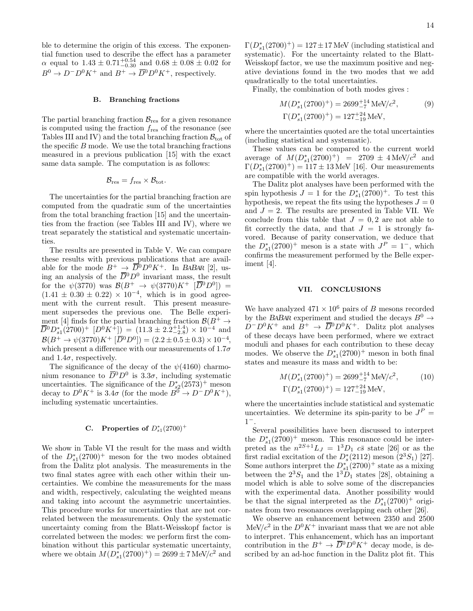ble to determine the origin of this excess. The exponential function used to describe the effect has a parameter  $\alpha$  equal to  $1.43 \pm 0.71_{-0.30}^{+0.54}$  and  $0.68 \pm 0.08 \pm 0.02$  for  $B^0 \to D^-D^0K^+$  and  $B^+ \to \overline{D}{}^0D^0K^+$ , respectively.

#### B. Branching fractions

The partial branching fraction  $\mathcal{B}_{\text{res}}$  for a given resonance is computed using the fraction  $f_{\text{res}}$  of the resonance (see Tables III and IV) and the total branching fraction  $B_{\text{tot}}$  of the specific  $B$  mode. We use the total branching fractions measured in a previous publication [15] with the exact same data sample. The computation is as follows:

$$
\mathcal{B}_{\text{res}} = f_{\text{res}} \times \mathcal{B}_{\text{tot}}.
$$

The uncertainties for the partial branching fraction are computed from the quadratic sum of the uncertainties from the total branching fraction [15] and the uncertainties from the fraction (see Tables III and IV), where we treat separately the statistical and systematic uncertainties.

The results are presented in Table V. We can compare these results with previous publications that are available for the mode  $B^+ \to \overline{D}{}^0 D^0 K^+$ . In BABAR [2], using an analysis of the  $\overline{D}{}^0D^0$  invariant mass, the result for the  $\psi(3770)$  was  $\mathcal{B}(B^+ \to \psi(3770)K^+$   $[\overline{D}^0 D^0]) =$  $(1.41 \pm 0.30 \pm 0.22) \times 10^{-4}$ , which is in good agreement with the current result. This present measurement supersedes the previous one. The Belle experiment [4] finds for the partial branching fraction  $\mathcal{B}(B^+ \to$  $\overline{D}{}^0D_{s1}^*(2700)^+$   $[D^0K^+])$  =  $(11.3 \pm 2.2^{+1.4}_{-2.8}) \times 10^{-4}$  and  $\mathcal{B}(B^+ \to \psi(3770)K^+ \left[ \overline{D}{}^0 D^0 \right]) = (2.2 \pm 0.5 \pm 0.3) \times 10^{-4},$ which present a difference with our measurements of  $1.7\sigma$ and  $1.4\sigma$ , respectively.

The significance of the decay of the  $\psi(4160)$  charmonium resonance to  $\overline{D}{}^0 D^0$  is 3.3 $\sigma$ , including systematic uncertainties. The significance of the  $D_{s2}^*(2573)^+$  meson decay to  $D^0 K^+$  is 3.4 $\sigma$  (for the mode  $B^0 \to D^- D^0 K^+$ ), including systematic uncertainties.

## C. Properties of  $D_{s1}^*(2700)^+$

We show in Table VI the result for the mass and width of the  $D_{s1}^*(2700)^+$  meson for the two modes obtained from the Dalitz plot analysis. The measurements in the two final states agree with each other within their uncertainties. We combine the measurements for the mass and width, respectively, calculating the weighted means and taking into account the asymmetric uncertainties. This procedure works for uncertainties that are not correlated between the measurements. Only the systematic uncertainty coming from the Blatt-Weisskopf factor is correlated between the modes: we perform first the combination without this particular systematic uncertainty, where we obtain  $M(D_{s1}^*(2700)^+) = 2699 \pm 7 \text{ MeV}/c^2$  and

 $\Gamma(D_{s1}^*(2700)^+) = 127 \pm 17$  MeV (including statistical and systematic). For the uncertainty related to the Blatt-Weisskopf factor, we use the maximum positive and negative deviations found in the two modes that we add quadratically to the total uncertainties.

Finally, the combination of both modes gives :

$$
M(D_{s1}^*(2700)^+) = 2699^{+14}_{-7} \text{ MeV}/c^2,
$$
  
\n
$$
\Gamma(D_{s1}^*(2700)^+) = 127^{+24}_{-19} \text{ MeV},
$$
  
\n(9)

where the uncertainties quoted are the total uncertainties (including statistical and systematic).

These values can be compared to the current world average of  $M(D_{s1}^*(2700)^+) = 2709 \pm 4 \text{ MeV}/c^2$  and  $\Gamma(D_{s1}^*(2700)^+) = 117 \pm 13$  MeV [16]. Our measurements are compatible with the world averages.

The Dalitz plot analyses have been performed with the spin hypothesis  $J = 1$  for the  $D_{s1}^*(2700)^+$ . To test this hypothesis, we repeat the fits using the hypotheses  $J = 0$ and  $J = 2$ . The results are presented in Table VII. We conclude from this table that  $J = 0, 2$  are not able to fit correctly the data, and that  $J = 1$  is strongly favored. Because of parity conservation, we deduce that the  $D_{s1}^*(2700)^+$  meson is a state with  $J^P = 1^-$ , which confirms the measurement performed by the Belle experiment [4].

## VII. CONCLUSIONS

We have analyzed  $471 \times 10^6$  pairs of B mesons recorded by the BABAR experiment and studied the decays  $B^0 \rightarrow$  $D^{-}D^{0}K^{+}$  and  $B^{+} \to \overline{D}{}^{0}D^{0}K^{+}$ . Dalitz plot analyses of these decays have been performed, where we extract moduli and phases for each contribution to these decay modes. We observe the  $D_{s1}^*(2700)^+$  meson in both final states and measure its mass and width to be:

$$
M(D_{s1}^*(2700)^+) = 2699^{+14}_{-7} \text{ MeV}/c^2, \tag{10}
$$
  

$$
\Gamma(D_{s1}^*(2700)^+) = 127^{+24}_{-19} \text{ MeV},
$$

where the uncertainties include statistical and systematic uncertainties. We determine its spin-parity to be  $J<sup>P</sup>$  =  $1^{-}$ .

Several possibilities have been discussed to interpret the  $D_{s1}^*(2700)^+$  meson. This resonance could be interpreted as the  $n^{2S+1}L_J = 1^3D_1 c\bar{s}$  state [26] or as the first radial excitation of the  $D_s^*(2112)$  meson  $(2^3S_1)$  [27]. Some authors interpret the  $D_{s1}^*(2700)^+$  state as a mixing between the  $2^3S_1$  and the  $1^3D_1$  states [28], obtaining a model which is able to solve some of the discrepancies with the experimental data. Another possibility would be that the signal interpreted as the  $\hat{D}_{s1}^*(2700)^+$  originates from two resonances overlapping each other [26].

We observe an enhancement between 2350 and 2500  $\text{MeV}/c^2$  in the  $D^0 K^+$  invariant mass that we are not able to interpret. This enhancement, which has an important contribution in the  $B^+ \to \overline{D}{}^0 D^0 K^+$  decay mode, is described by an ad-hoc function in the Dalitz plot fit. This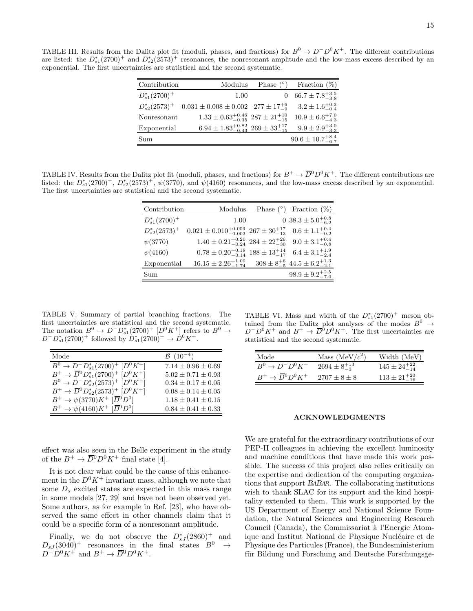TABLE III. Results from the Dalitz plot fit (moduli, phases, and fractions) for  $B^0 \to D^- D^0 K^+$ . The different contributions are listed: the  $D_{s1}^*(2700)^+$  and  $D_{s2}^*(2573)^+$  resonances, the nonresonant amplitude and the low-mass excess described by an exponential. The first uncertainties are statistical and the second systematic.

| Contribution       | Modulus                                                  | Phase $(^\circ)$ | Fraction $(\%)$               |
|--------------------|----------------------------------------------------------|------------------|-------------------------------|
| $D_{s1}^*(2700)^+$ | 1.00                                                     |                  | $66.7 \pm 7.8^{+3.5}_{-3.8}$  |
| $D_{s2}^*(2573)^+$ | $0.031 \pm 0.008 \pm 0.002$ 277 $\pm 17^{+6}_{-9}$       |                  | $3.2 \pm 1.6^{+0.3}_{-0.4}$   |
| Nonresonant        | $1.33 \pm 0.63_{-0.35}^{+0.46}$ $287 \pm 21_{-15}^{+10}$ |                  | $10.9 \pm 6.6_{-4.3}^{+7.0}$  |
| Exponential        | $6.94 \pm 1.83_{-0.43}^{+0.82}$ $269 \pm 33_{-15}^{+17}$ |                  | $9.9 \pm 2.9^{+3.0}_{-3.3}$   |
| Sum                |                                                          |                  | $90.6 \pm 10.7^{+8.4}_{-6.7}$ |

TABLE IV. Results from the Dalitz plot fit (moduli, phases, and fractions) for  $B^+ \to \overline{D}{}^0 D^0 K^+$ . The different contributions are listed: the  $D_{s1}^*(2700)^+$ ,  $D_{s2}^*(2573)^+$ ,  $\psi(3770)$ , and  $\psi(4160)$  resonances, and the low-mass excess described by an exponential. The first uncertainties are statistical and the second systematic.

| Contribution       | Modulus                                                      | Phase $(°)$ | Fraction $(\%)$                                      |
|--------------------|--------------------------------------------------------------|-------------|------------------------------------------------------|
| $D_{s1}^*(2700)^+$ | 1.00                                                         |             | 0 $38.3 \pm 5.0^{+0.8}_{-6.2}$                       |
| $D_{s2}^*(2573)^+$ | $0.021 \pm 0.010^{+0.009}_{-0.003}$ 267 $\pm 30^{+17}_{-13}$ |             | $0.6 \pm 1.1^{+0.4}_{-0.2}$                          |
| $\psi(3770)$       | $1.40 \pm 0.21^{+0.20}_{-0.24}$ $284 \pm 22^{+26}_{-30}$     |             | $9.0 \pm 3.1^{+0.4}_{-0.8}$                          |
| $\psi(4160)$       | $0.78 \pm 0.20^{+0.18}_{-0.14}$ $188 \pm 13^{+14}_{-17}$     |             | $6.4 \pm 3.1_{-2.4}^{+1.9}$                          |
| Exponential        | $16.15 \pm 2.26_{-1.74}^{+1.09}$                             |             | $308 \pm 8^{+6}_{-5}$ 44.5 $\pm$ 6.2 <sup>+1.3</sup> |
| Sum                |                                                              |             | $98.9 \pm 9.2^{+2.5}_{-7.0}$                         |

TABLE V. Summary of partial branching fractions. The first uncertainties are statistical and the second systematic. The notation  $B^0 \to D^{-} D_{s1}^{*}(2700)^{+} [D^{0} K^{+}]$  refers to  $B^0 \to$  $D^{-}D_{s1}^{*}(2700)^{+}$  followed by  $D_{s1}^{*}(2700)^{+} \rightarrow D^{0}K^{+}$ .

| Mode                                                  | $\mathcal{B}$ $(10^{-4})$ |
|-------------------------------------------------------|---------------------------|
| $B^0 \to D^{-} D_{s1}^{*}(2700)^{+} [D^{0} K^{+}]$    | $7.14 \pm 0.96 \pm 0.69$  |
| $B^+ \to \overline{D}{}^0 D_{s1}^*(2700)^+ [D^0 K^+]$ | $5.02 \pm 0.71 \pm 0.93$  |
| $B^0 \to D^{-} D_{s2}^{*}(2573)^{+} [D^{0} K^{+}]$    | $0.34 \pm 0.17 \pm 0.05$  |
| $B^+ \to \overline{D}{}^0 D_{s2}^*(2573)^+ [D^0 K^+]$ | $0.08 \pm 0.14 \pm 0.05$  |
| $B^+ \to \psi(3770)K^+$ $[\overline{D}{}^0D^0]$       | $1.18 \pm 0.41 \pm 0.15$  |
| $B^+ \to \psi(4160)K^+$ $[\overline{D}{}^0D^0]$       | $0.84 \pm 0.41 \pm 0.33$  |

effect was also seen in the Belle experiment in the study of the  $B^+ \to \overline{D}{}^0 D^0 K^+$  final state [4].

It is not clear what could be the cause of this enhancement in the  $D^0 K^+$  invariant mass, although we note that some  $D_s$  excited states are expected in this mass range in some models [27, 29] and have not been observed yet. Some authors, as for example in Ref. [23], who have observed the same effect in other channels claim that it could be a specific form of a nonresonant amplitude.

Finally, we do not observe the  $D_{sJ}^*(2860)^+$  and  $D_{sJ}(3040)^+$  resonances in the final states  $B^0 \rightarrow$  $D^{\sim}D^0K^+$  and  $B^+ \to \overline{D}{}^0D^0K^+$ .

TABLE VI. Mass and width of the  $D_{s1}^*(2700)^+$  meson obtained from the Dalitz plot analyses of the modes  $B^0 \rightarrow$  $D^{-}D^{0}K^{+}$  and  $B^{+} \to \overline{D}^{0}D^{0}K^{+}$ . The first uncertainties are statistical and the second systematic.

| Mode                                       | Mass $(MeV/c2)$         | Width (MeV)              |
|--------------------------------------------|-------------------------|--------------------------|
| $B^0 \to D^{-} D^{0} K^{+}$                | $2694 \pm 8^{+13}_{-3}$ | $145 \pm 24_{-14}^{+22}$ |
| $B^+ \rightarrow \overline{D}{}^0 D^0 K^+$ | $2707 + 8 + 8$          | $113 \pm 21^{+20}_{-16}$ |

#### ACKNOWLEDGMENTS

We are grateful for the extraordinary contributions of our PEP-II colleagues in achieving the excellent luminosity and machine conditions that have made this work possible. The success of this project also relies critically on the expertise and dedication of the computing organizations that support BABAR. The collaborating institutions wish to thank SLAC for its support and the kind hospitality extended to them. This work is supported by the US Department of Energy and National Science Foundation, the Natural Sciences and Engineering Research Council (Canada), the Commissariat à l'Energie Atomique and Institut National de Physique Nucléaire et de Physique des Particules (France), the Bundesministerium für Bildung und Forschung and Deutsche Forschungsge-